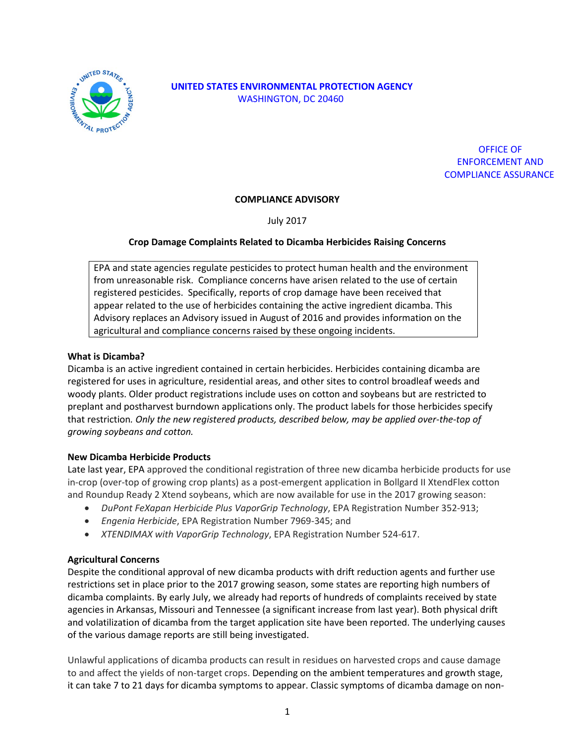

# **UNITED STATES ENVIRONMENTAL PROTECTION AGENCY** WASHINGTON, DC 20460

# OFFICE OF ENFORCEMENT AND COMPLIANCE ASSURANCE

## **COMPLIANCE ADVISORY**

July 2017

## **Crop Damage Complaints Related to Dicamba Herbicides Raising Concerns**

EPA and state agencies regulate pesticides to protect human health and the environment from unreasonable risk. Compliance concerns have arisen related to the use of certain registered pesticides. Specifically, reports of crop damage have been received that appear related to the use of herbicides containing the active ingredient dicamba. This Advisory replaces an Advisory issued in August of 2016 and provides information on the agricultural and compliance concerns raised by these ongoing incidents.

#### **What is Dicamba?**

Dicamba is an active ingredient contained in certain herbicides. Herbicides containing dicamba are registered for uses in agriculture, residential areas, and other sites to control broadleaf weeds and woody plants. Older product registrations include uses on cotton and soybeans but are restricted to preplant and postharvest burndown applications only. The product labels for those herbicides specify that restriction*. Only the new registered products, described below, may be applied over-the-top of growing soybeans and cotton.*

#### **New Dicamba Herbicide Products**

Late last year, EPA approved the conditional registration of three new dicamba herbicide products for use in-crop (over-top of growing crop plants) as a post-emergent application in Bollgard II XtendFlex cotton and Roundup Ready 2 Xtend soybeans, which are now available for use in the 2017 growing season:

- *DuPont FeXapan Herbicide Plus VaporGrip Technology*, EPA Registration Number 352-913;
- *Engenia Herbicide*, EPA Registration Number 7969-345; and
- *XTENDIMAX with VaporGrip Technology*, EPA Registration Number 524-617.

#### **Agricultural Concerns**

Despite the conditional approval of new dicamba products with drift reduction agents and further use restrictions set in place prior to the 2017 growing season, some states are reporting high numbers of dicamba complaints. By early July, we already had reports of hundreds of complaints received by state agencies in Arkansas, Missouri and Tennessee (a significant increase from last year). Both physical drift and volatilization of dicamba from the target application site have been reported. The underlying causes of the various damage reports are still being investigated.

Unlawful applications of dicamba products can result in residues on harvested crops and cause damage to and affect the yields of non-target crops. Depending on the ambient temperatures and growth stage, it can take 7 to 21 days for dicamba symptoms to appear. Classic symptoms of dicamba damage on non